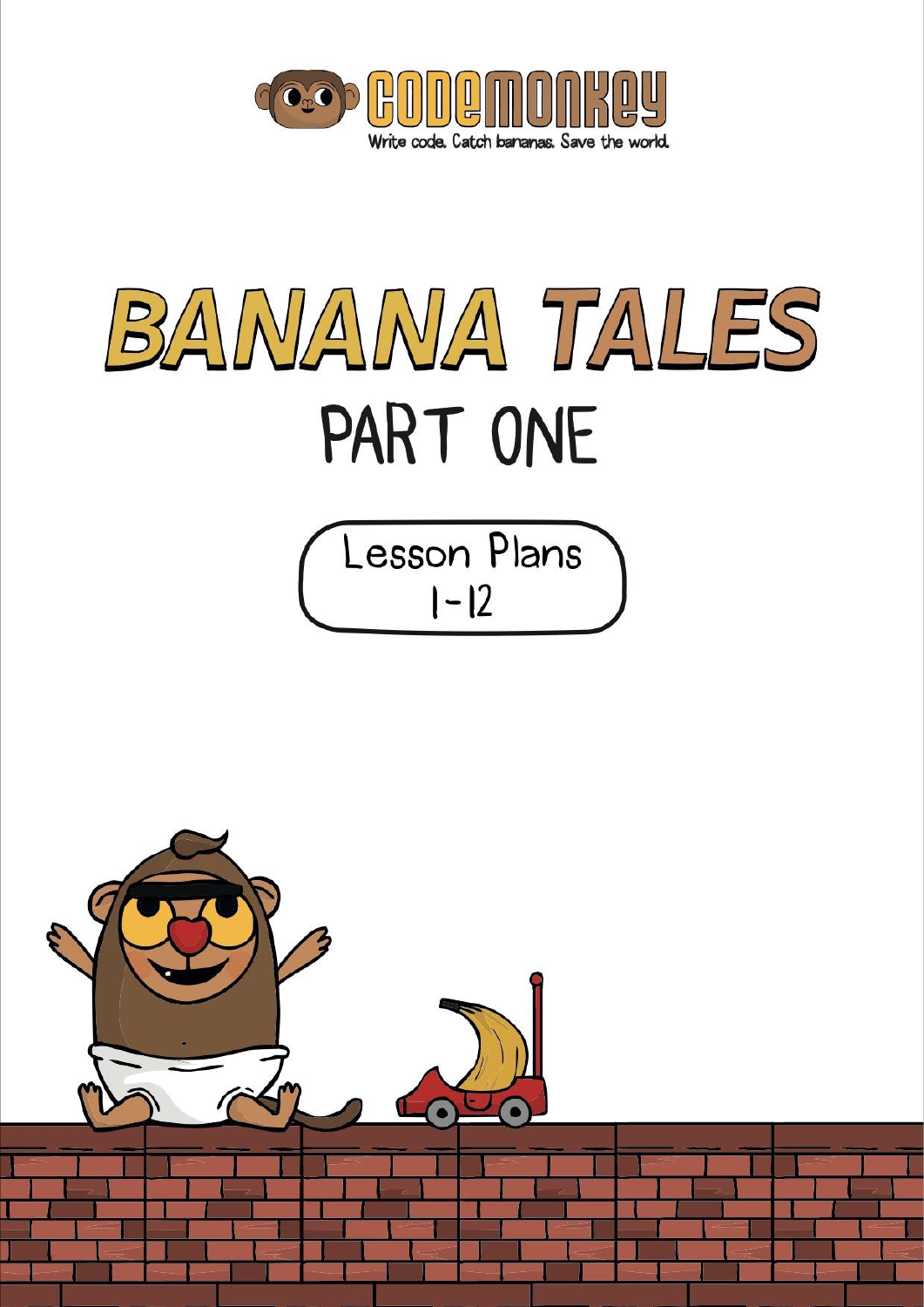





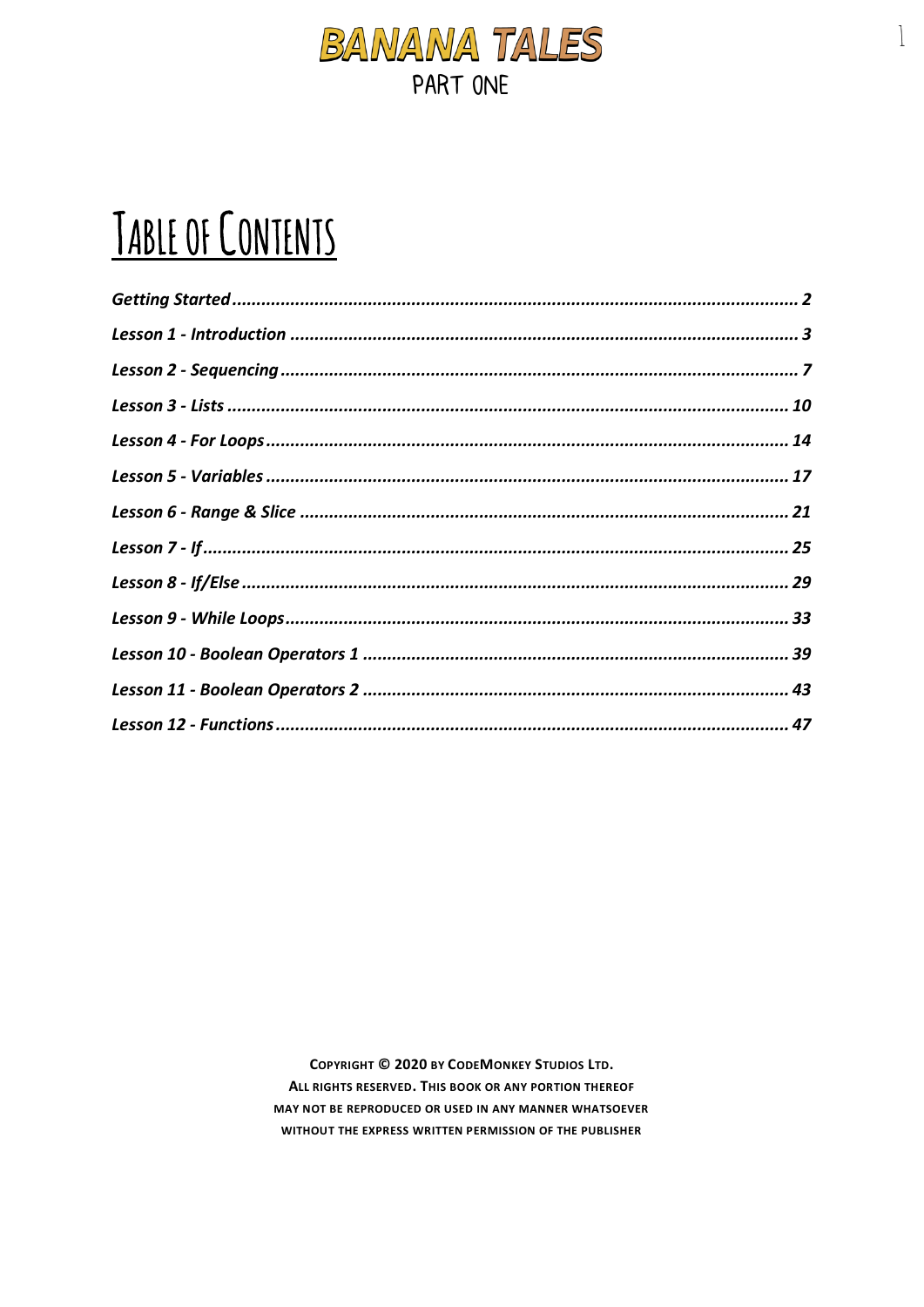

 $\overline{\phantom{a}}$ 

# TABLE OF CONTENTS

COPYRIGHT © 2020 BY CODEMONKEY STUDIOS LTD. ALL RIGHTS RESERVED. THIS BOOK OR ANY PORTION THEREOF MAY NOT BE REPRODUCED OR USED IN ANY MANNER WHATSOEVER WITHOUT THE EXPRESS WRITTEN PERMISSION OF THE PUBLISHER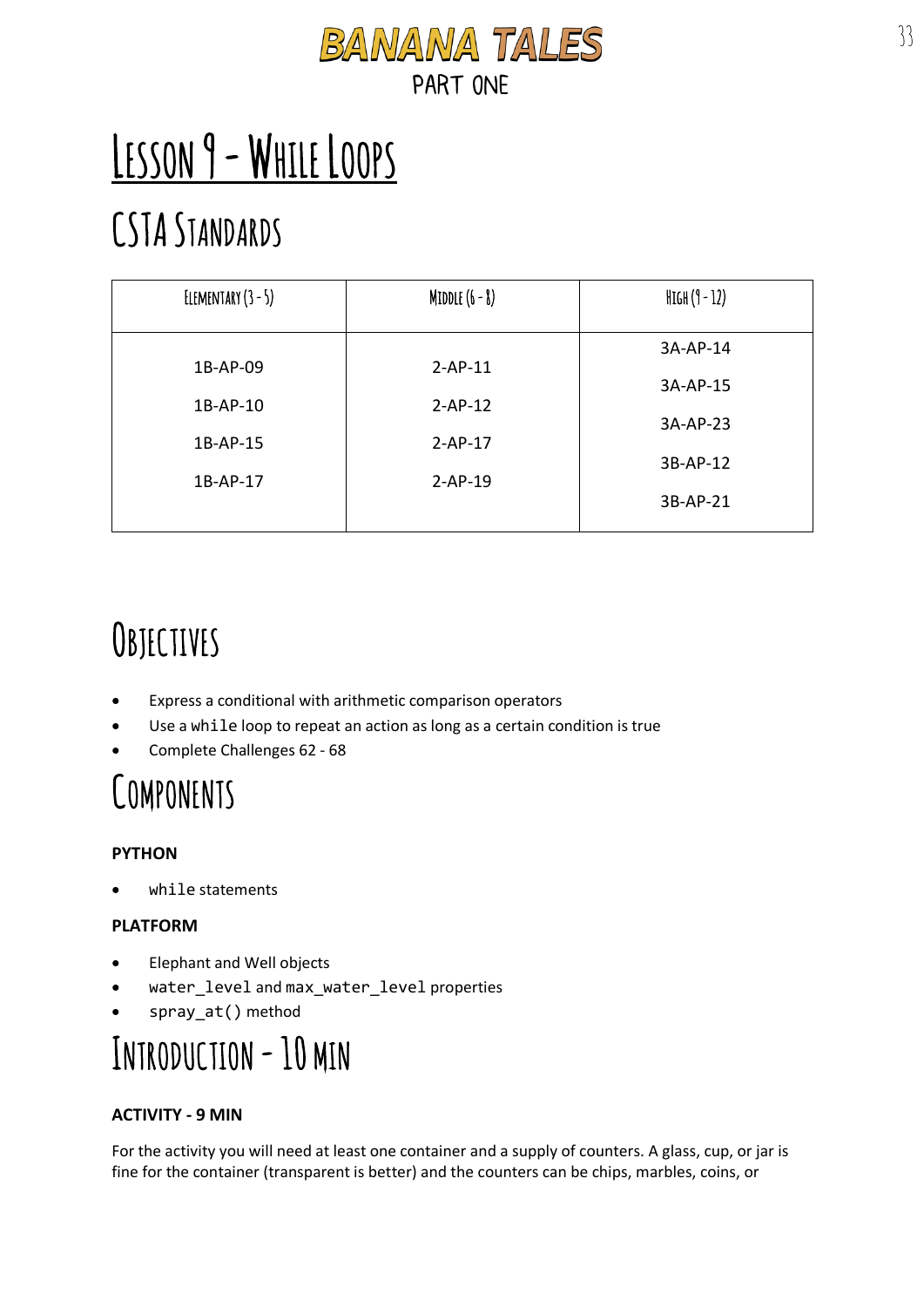

# <span id="page-2-0"></span>LESSON 9 - WHILE LOOPS

## CSTA STANDARDS

| ELEMENTARY $(3 - 5)$ | MIDDLE $(6 - 8)$ | $HIGH (9 - 12)$ |
|----------------------|------------------|-----------------|
| 1B-AP-09             | $2-AP-11$        | 3A-AP-14        |
| 1B-AP-10             | $2-AP-12$        | 3A-AP-15        |
| 1B-AP-15             | $2-AP-17$        | 3A-AP-23        |
| 1B-AP-17             | $2-AP-19$        | 3B-AP-12        |
|                      |                  | 3B-AP-21        |

### OBJECTIVES

- Express a conditional with arithmetic comparison operators
- Use a while loop to repeat an action as long as a certain condition is true
- Complete Challenges 62 68

### COMPONENTS

#### **PYTHON**

• while statements

#### **PLATFORM**

- Elephant and Well objects
- water\_level and max\_water\_level properties
- spray\_at() method

### INTRODUCTION - 10 MIN

#### **ACTIVITY - 9 MIN**

For the activity you will need at least one container and a supply of counters. A glass, cup, or jar is fine for the container (transparent is better) and the counters can be chips, marbles, coins, or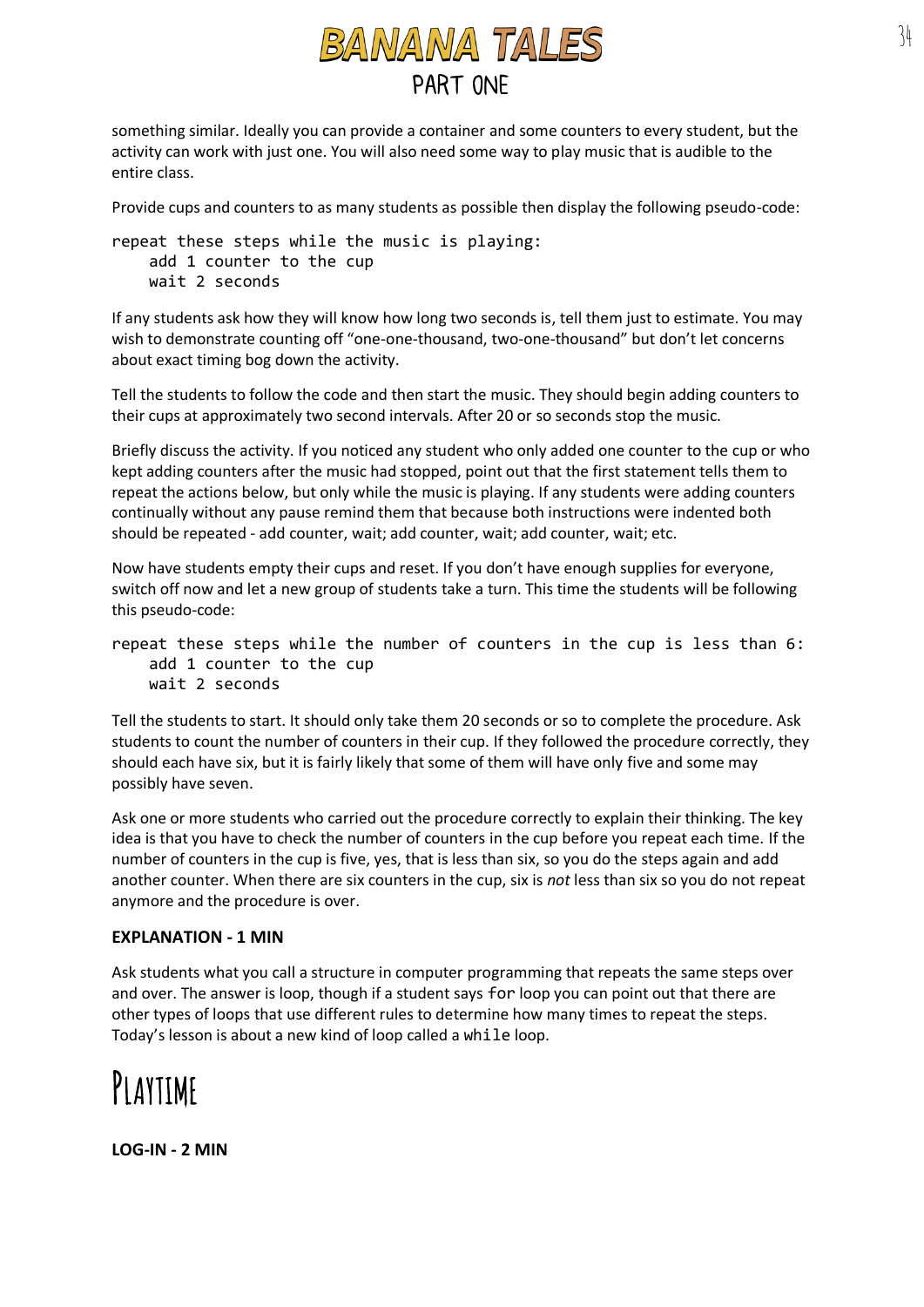

something similar. Ideally you can provide a container and some counters to every student, but the activity can work with just one. You will also need some way to play music that is audible to the entire class.

Provide cups and counters to as many students as possible then display the following pseudo-code:

```
repeat these steps while the music is playing:
     add 1 counter to the cup
     wait 2 seconds
```
If any students ask how they will know how long two seconds is, tell them just to estimate. You may wish to demonstrate counting off "one-one-thousand, two-one-thousand" but don't let concerns about exact timing bog down the activity.

Tell the students to follow the code and then start the music. They should begin adding counters to their cups at approximately two second intervals. After 20 or so seconds stop the music.

Briefly discuss the activity. If you noticed any student who only added one counter to the cup or who kept adding counters after the music had stopped, point out that the first statement tells them to repeat the actions below, but only while the music is playing. If any students were adding counters continually without any pause remind them that because both instructions were indented both should be repeated - add counter, wait; add counter, wait; add counter, wait; etc.

Now have students empty their cups and reset. If you don't have enough supplies for everyone, switch off now and let a new group of students take a turn. This time the students will be following this pseudo-code:

```
repeat these steps while the number of counters in the cup is less than 6:
     add 1 counter to the cup
    wait 2 seconds
```
Tell the students to start. It should only take them 20 seconds or so to complete the procedure. Ask students to count the number of counters in their cup. If they followed the procedure correctly, they should each have six, but it is fairly likely that some of them will have only five and some may possibly have seven.

Ask one or more students who carried out the procedure correctly to explain their thinking. The key idea is that you have to check the number of counters in the cup before you repeat each time. If the number of counters in the cup is five, yes, that is less than six, so you do the steps again and add another counter. When there are six counters in the cup, six is *not* less than six so you do not repeat anymore and the procedure is over.

#### **EXPLANATION - 1 MIN**

Ask students what you call a structure in computer programming that repeats the same steps over and over. The answer is loop, though if a student says for loop you can point out that there are other types of loops that use different rules to determine how many times to repeat the steps. Today's lesson is about a new kind of loop called a while loop.

### PLAYTIME

**LOG-IN - 2 MIN**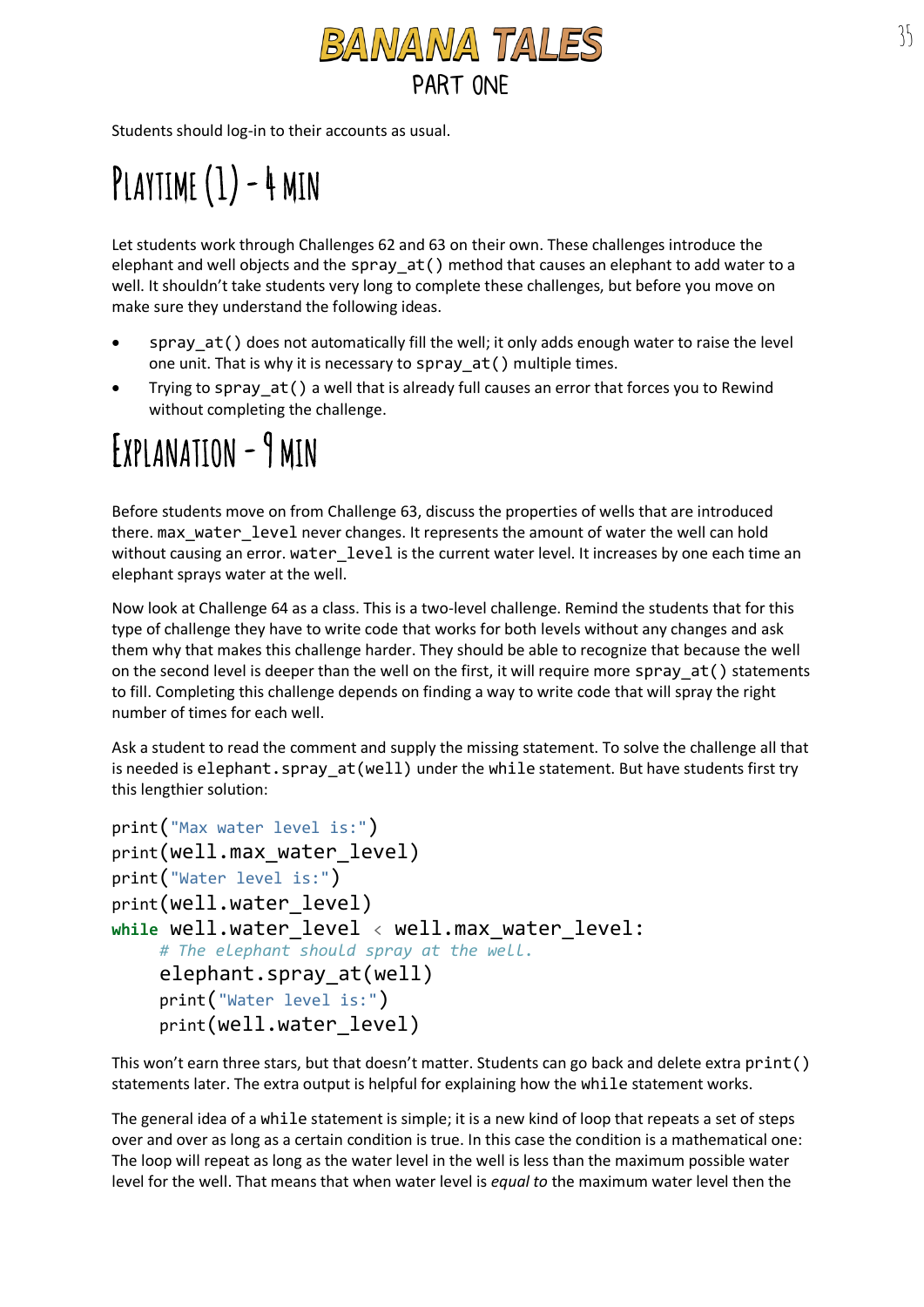

Students should log-in to their accounts as usual.

## PLAYTIME  $(1)$  - 4 MIN

Let students work through Challenges 62 and 63 on their own. These challenges introduce the elephant and well objects and the spray  $at()$  method that causes an elephant to add water to a well. It shouldn't take students very long to complete these challenges, but before you move on make sure they understand the following ideas.

- spray  $at()$  does not automatically fill the well; it only adds enough water to raise the level one unit. That is why it is necessary to spray\_at() multiple times.
- Trying to spray at () a well that is already full causes an error that forces you to Rewind without completing the challenge.

### EXPLANATION - 9 MIN

Before students move on from Challenge 63, discuss the properties of wells that are introduced there. max\_water\_level never changes. It represents the amount of water the well can hold without causing an error. water level is the current water level. It increases by one each time an elephant sprays water at the well.

Now look at Challenge 64 as a class. This is a two-level challenge. Remind the students that for this type of challenge they have to write code that works for both levels without any changes and ask them why that makes this challenge harder. They should be able to recognize that because the well on the second level is deeper than the well on the first, it will require more spray  $at()$  statements to fill. Completing this challenge depends on finding a way to write code that will spray the right number of times for each well.

Ask a student to read the comment and supply the missing statement. To solve the challenge all that is needed is elephant.spray\_at(well) under the while statement. But have students first try this lengthier solution:

```
print("Max water level is:")
print(well.max water level)
print("Water level is:")
print(well.water_level)
while well.water level < well.max water level:
     # The elephant should spray at the well.
     elephant.spray_at(well)
     print("Water level is:")
     print(well.water_level)
```
This won't earn three stars, but that doesn't matter. Students can go back and delete extra print() statements later. The extra output is helpful for explaining how the while statement works.

The general idea of a while statement is simple; it is a new kind of loop that repeats a set of steps over and over as long as a certain condition is true. In this case the condition is a mathematical one: The loop will repeat as long as the water level in the well is less than the maximum possible water level for the well. That means that when water level is *equal to* the maximum water level then the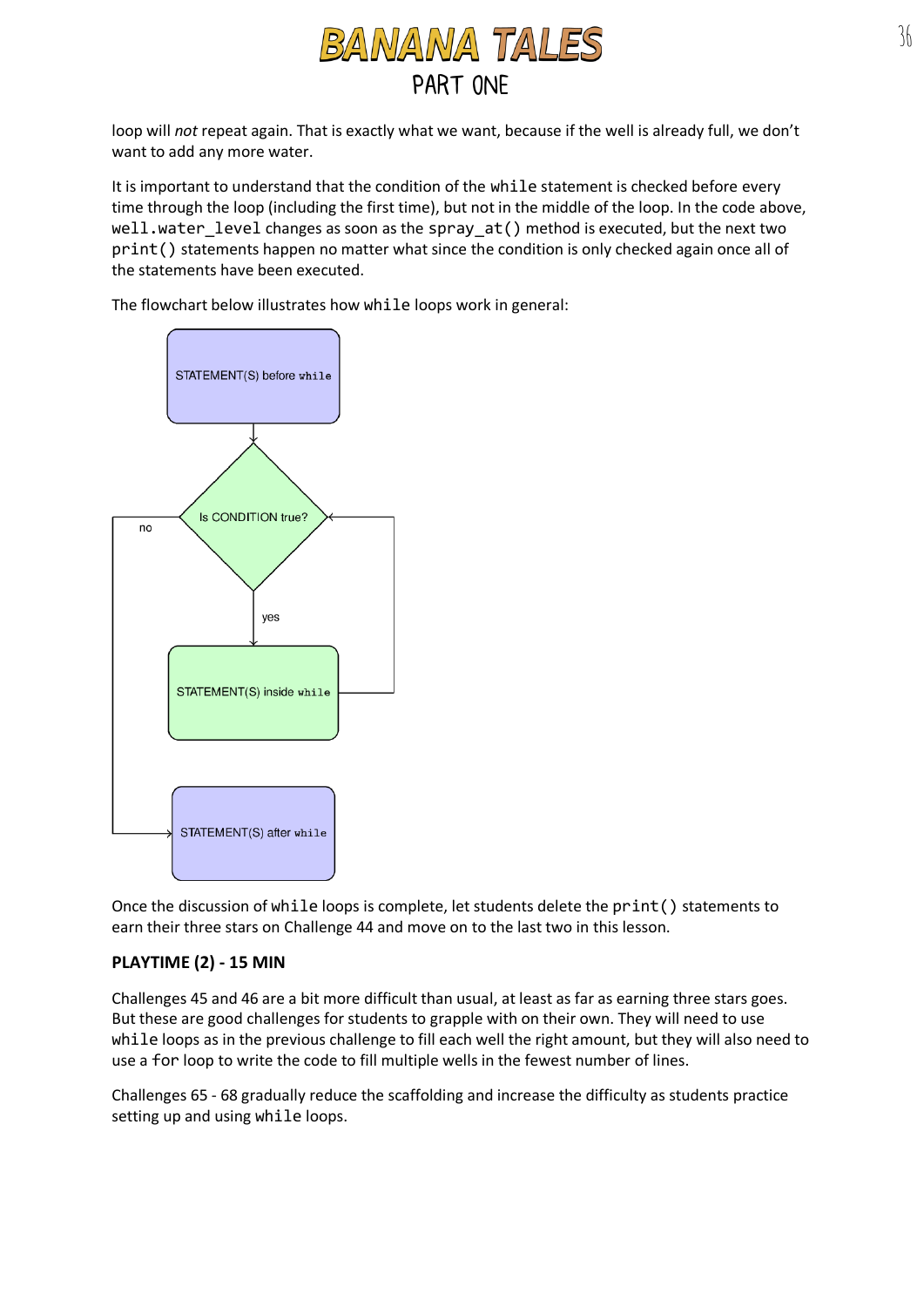

loop will *not* repeat again. That is exactly what we want, because if the well is already full, we don't want to add any more water.

It is important to understand that the condition of the while statement is checked before every time through the loop (including the first time), but not in the middle of the loop. In the code above, well.water\_level changes as soon as the spray\_at() method is executed, but the next two print() statements happen no matter what since the condition is only checked again once all of the statements have been executed.

The flowchart below illustrates how while loops work in general:



Once the discussion of while loops is complete, let students delete the print() statements to earn their three stars on Challenge 44 and move on to the last two in this lesson.

#### **PLAYTIME (2) - 15 MIN**

Challenges 45 and 46 are a bit more difficult than usual, at least as far as earning three stars goes. But these are good challenges for students to grapple with on their own. They will need to use while loops as in the previous challenge to fill each well the right amount, but they will also need to use a for loop to write the code to fill multiple wells in the fewest number of lines.

Challenges 65 - 68 gradually reduce the scaffolding and increase the difficulty as students practice setting up and using while loops.